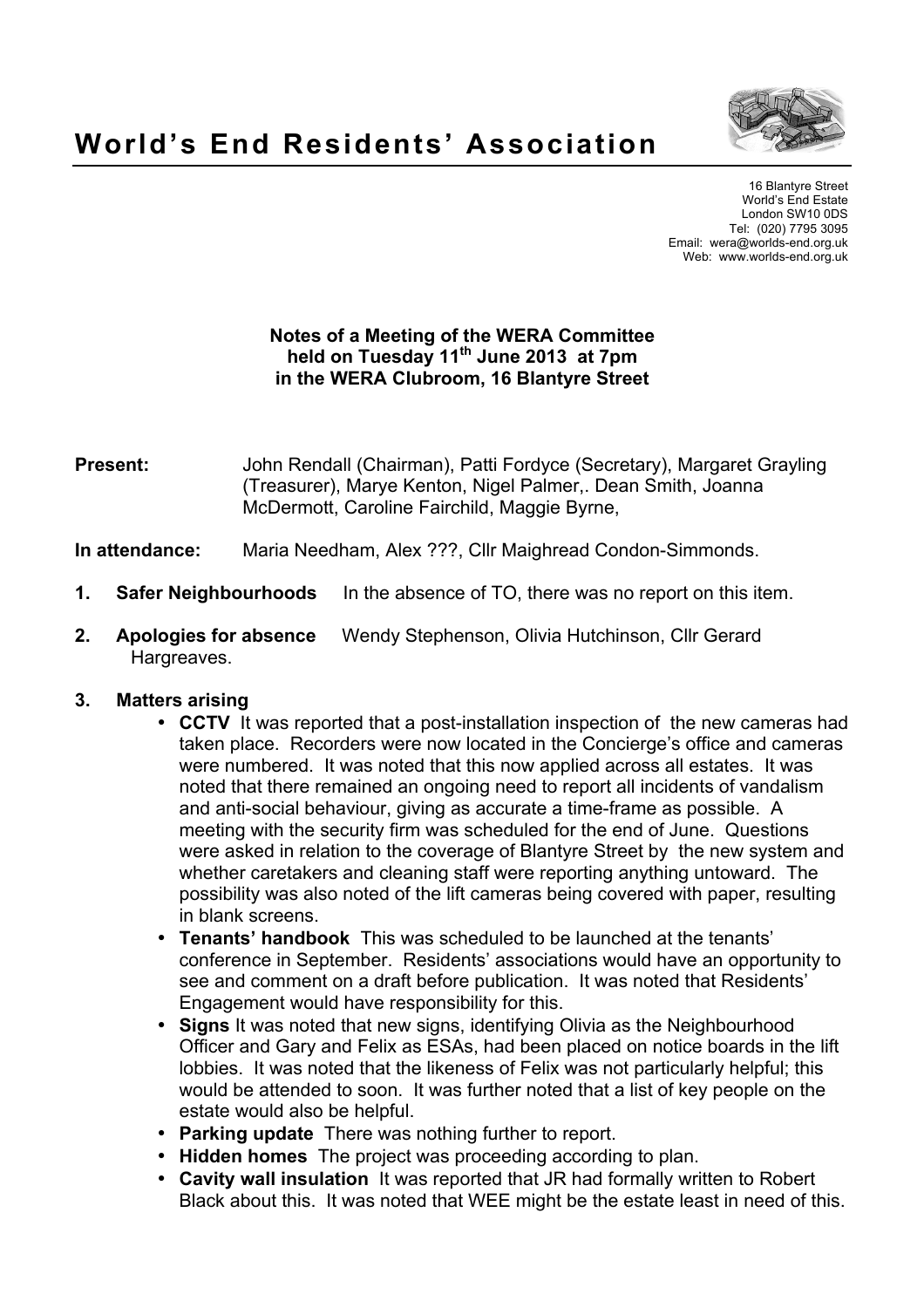

16 Blantyre Street World's End Estate London SW10 0DS Tel: (020) 7795 3095 Email: wera@worlds-end.org.uk Web: www.worlds-end.org.uk

## **Notes of a Meeting of the WERA Committee held on Tuesday 11th June 2013 at 7pm in the WERA Clubroom, 16 Blantyre Street**

- **Present:** John Rendall (Chairman), Patti Fordyce (Secretary), Margaret Grayling (Treasurer), Marye Kenton, Nigel Palmer,. Dean Smith, Joanna McDermott, Caroline Fairchild, Maggie Byrne,
- **In attendance:** Maria Needham, Alex ???, Cllr Maighread Condon-Simmonds.
- **1. Safer Neighbourhoods** In the absence of TO, there was no report on this item.
- **2. Apologies for absence** Wendy Stephenson, Olivia Hutchinson, Cllr Gerard Hargreaves.

#### **3. Matters arising**

- **CCTV** It was reported that a post-installation inspection of the new cameras had taken place. Recorders were now located in the Concierge's office and cameras were numbered. It was noted that this now applied across all estates. It was noted that there remained an ongoing need to report all incidents of vandalism and anti-social behaviour, giving as accurate a time-frame as possible. A meeting with the security firm was scheduled for the end of June. Questions were asked in relation to the coverage of Blantyre Street by the new system and whether caretakers and cleaning staff were reporting anything untoward. The possibility was also noted of the lift cameras being covered with paper, resulting in blank screens.
- **Tenants' handbook** This was scheduled to be launched at the tenants' conference in September. Residents' associations would have an opportunity to see and comment on a draft before publication. It was noted that Residents' Engagement would have responsibility for this.
- **Signs** It was noted that new signs, identifying Olivia as the Neighbourhood Officer and Gary and Felix as ESAs, had been placed on notice boards in the lift lobbies. It was noted that the likeness of Felix was not particularly helpful; this would be attended to soon. It was further noted that a list of key people on the estate would also be helpful.
- **Parking update** There was nothing further to report.
- **Hidden homes** The project was proceeding according to plan.
- **Cavity wall insulation** It was reported that JR had formally written to Robert Black about this. It was noted that WEE might be the estate least in need of this.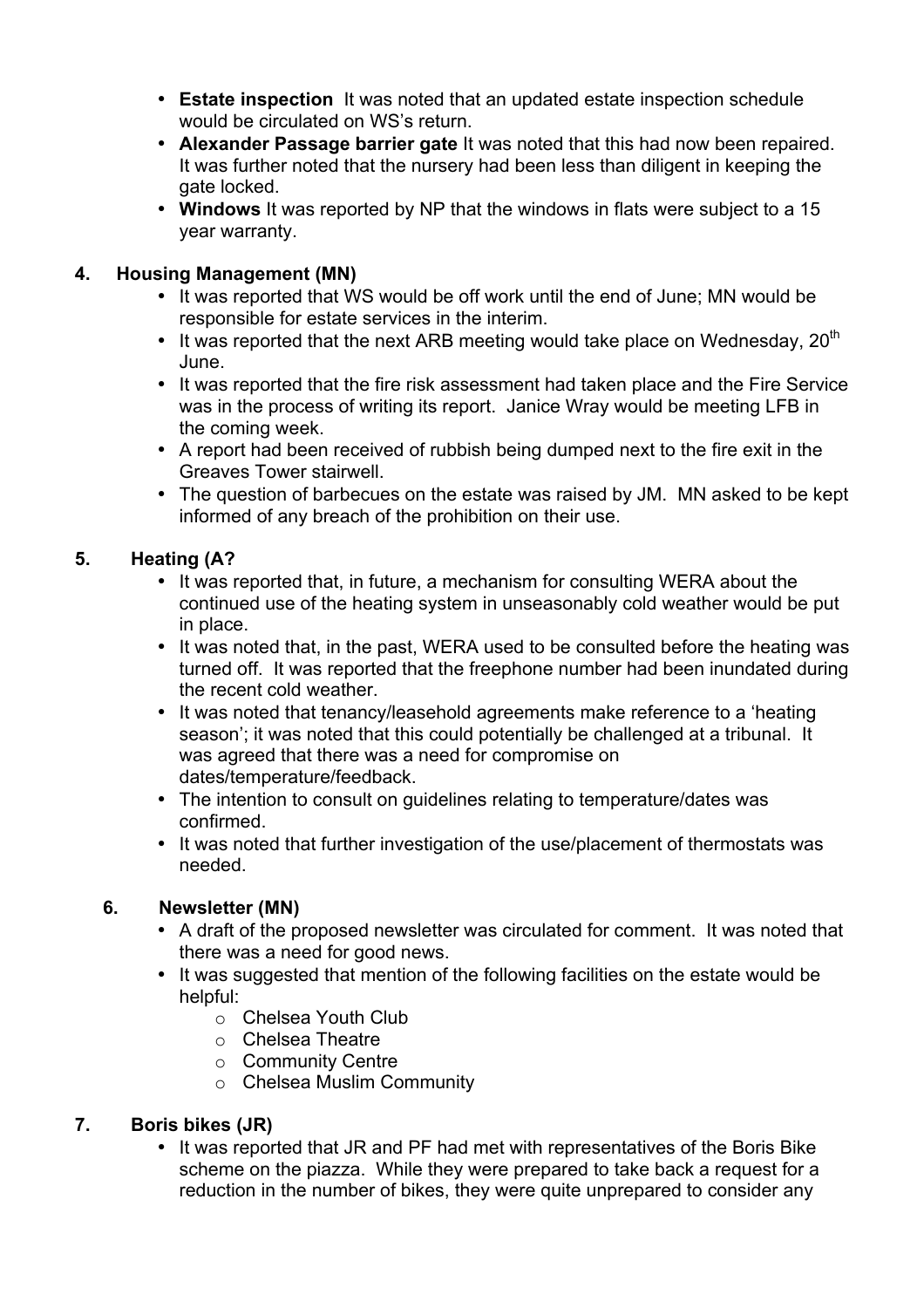- **Estate inspection** It was noted that an updated estate inspection schedule would be circulated on WS's return.
- **Alexander Passage barrier gate** It was noted that this had now been repaired. It was further noted that the nursery had been less than diligent in keeping the gate locked.
- **Windows** It was reported by NP that the windows in flats were subject to a 15 year warranty.

## **4. Housing Management (MN)**

- It was reported that WS would be off work until the end of June; MN would be responsible for estate services in the interim.
- It was reported that the next ARB meeting would take place on Wednesday,  $20<sup>th</sup>$ June.
- It was reported that the fire risk assessment had taken place and the Fire Service was in the process of writing its report. Janice Wray would be meeting LFB in the coming week.
- A report had been received of rubbish being dumped next to the fire exit in the Greaves Tower stairwell.
- The question of barbecues on the estate was raised by JM. MN asked to be kept informed of any breach of the prohibition on their use.

# **5. Heating (A?**

- It was reported that, in future, a mechanism for consulting WERA about the continued use of the heating system in unseasonably cold weather would be put in place.
- It was noted that, in the past, WERA used to be consulted before the heating was turned off. It was reported that the freephone number had been inundated during the recent cold weather.
- It was noted that tenancy/leasehold agreements make reference to a 'heating season'; it was noted that this could potentially be challenged at a tribunal. It was agreed that there was a need for compromise on dates/temperature/feedback.
- The intention to consult on guidelines relating to temperature/dates was confirmed.
- It was noted that further investigation of the use/placement of thermostats was needed.

#### **6. Newsletter (MN)**

- A draft of the proposed newsletter was circulated for comment. It was noted that there was a need for good news.
- It was suggested that mention of the following facilities on the estate would be helpful:
	- o Chelsea Youth Club
	- o Chelsea Theatre
	- o Community Centre
	- o Chelsea Muslim Community

#### **7. Boris bikes (JR)**

• It was reported that JR and PF had met with representatives of the Boris Bike scheme on the piazza. While they were prepared to take back a request for a reduction in the number of bikes, they were quite unprepared to consider any